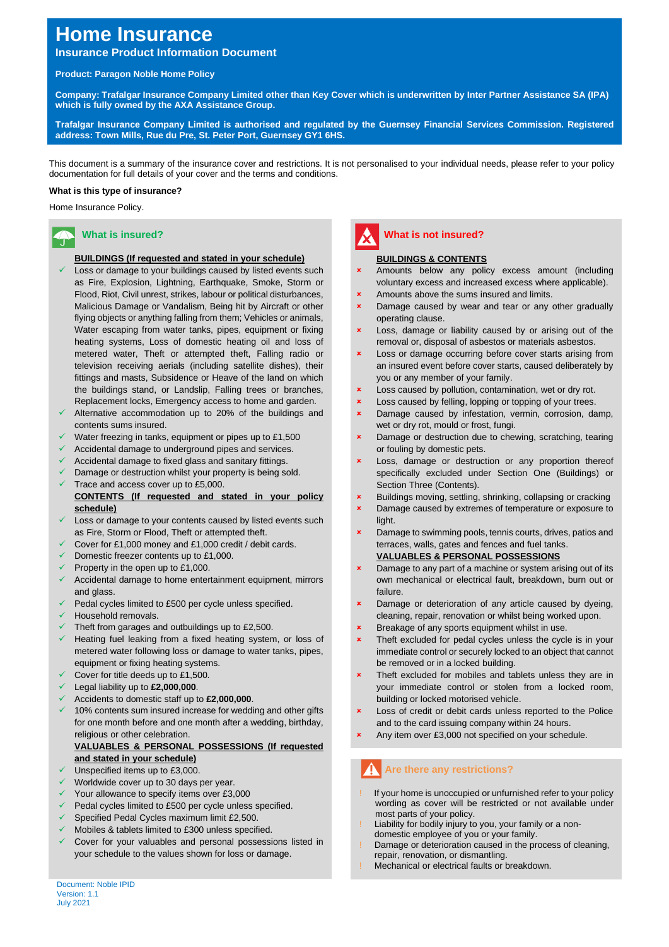# **Home Insurance**

## **Insurance Product Information Document**

## **Product: Paragon Noble Home Policy**

**Company: Trafalgar Insurance Company Limited other than Key Cover which is underwritten by Inter Partner Assistance SA (IPA) which is fully owned by the AXA Assistance Group.**

**Trafalgar Insurance Company Limited is authorised and regulated by the Guernsey Financial Services Commission. Registered address: Town Mills, Rue du Pre, St. Peter Port, Guernsey GY1 6HS.**

This document is a summary of the insurance cover and restrictions. It is not personalised to your individual needs, please refer to your policy documentation for full details of your cover and the terms and conditions.

### **What is this type of insurance?**

Home Insurance Policy.

## **What is insured?**

## **BUILDINGS (If requested and stated in your schedule)**

- Loss or damage to your buildings caused by listed events such as Fire, Explosion, Lightning, Earthquake, Smoke, Storm or Flood, Riot, Civil unrest, strikes, labour or political disturbances, Malicious Damage or Vandalism, Being hit by Aircraft or other flying objects or anything falling from them; Vehicles or animals, Water escaping from water tanks, pipes, equipment or fixing heating systems, Loss of domestic heating oil and loss of metered water, Theft or attempted theft, Falling radio or television receiving aerials (including satellite dishes), their fittings and masts, Subsidence or Heave of the land on which the buildings stand, or Landslip, Falling trees or branches, Replacement locks, Emergency access to home and garden.
- Alternative accommodation up to 20% of the buildings and contents sums insured.
- Water freezing in tanks, equipment or pipes up to £1,500
- Accidental damage to underground pipes and services.
- Accidental damage to fixed glass and sanitary fittings.
- Damage or destruction whilst your property is being sold. Trace and access cover up to £5,000.
- **CONTENTS (If requested and stated in your policy schedule)**
- Loss or damage to your contents caused by listed events such as Fire, Storm or Flood, Theft or attempted theft.
- Cover for £1,000 money and £1,000 credit / debit cards.
- Domestic freezer contents up to £1,000.
- Property in the open up to £1,000.
- Accidental damage to home entertainment equipment, mirrors and glass.
- Pedal cycles limited to £500 per cycle unless specified.
- Household removals.
- $\sqrt{ }$  Theft from garages and outbuildings up to £2,500.
- Heating fuel leaking from a fixed heating system, or loss of metered water following loss or damage to water tanks, pipes, equipment or fixing heating systems.
- Cover for title deeds up to £1,500.
- ✓ Legal liability up to **£2,000,000**.
- ✓ Accidents to domestic staff up to **£2,000,000**.
- 10% contents sum insured increase for wedding and other gifts for one month before and one month after a wedding, birthday, religious or other celebration.

#### **VALUABLES & PERSONAL POSSESSIONS (If requested and stated in your schedule)**

- Unspecified items up to £3,000.
- Worldwide cover up to 30 days per year.
- Your allowance to specify items over £3,000
- Pedal cycles limited to £500 per cycle unless specified.
- Specified Pedal Cycles maximum limit £2,500.
- Mobiles & tablets limited to £300 unless specified.
- ✓ Cover for your valuables and personal possessions listed in your schedule to the values shown for loss or damage.

## **What is not insured?**

#### **BUILDINGS & CONTENTS**

- Amounts below any policy excess amount (including voluntary excess and increased excess where applicable).
- Amounts above the sums insured and limits.
- Damage caused by wear and tear or any other gradually operating clause.
- Loss, damage or liability caused by or arising out of the removal or, disposal of asbestos or materials asbestos.
- **x** Loss or damage occurring before cover starts arising from an insured event before cover starts, caused deliberately by you or any member of your family.
- Loss caused by pollution, contamination, wet or dry rot.
- Loss caused by felling, lopping or topping of your trees.
- Damage caused by infestation, vermin, corrosion, damp, wet or dry rot, mould or frost, fungi.
- Damage or destruction due to chewing, scratching, tearing or fouling by domestic pets.
- Loss, damage or destruction or any proportion thereof specifically excluded under Section One (Buildings) or Section Three (Contents).
- Buildings moving, settling, shrinking, collapsing or cracking
- Damage caused by extremes of temperature or exposure to light.
- Damage to swimming pools, tennis courts, drives, patios and terraces, walls, gates and fences and fuel tanks.

## **VALUABLES & PERSONAL POSSESSIONS**

- Damage to any part of a machine or system arising out of its own mechanical or electrical fault, breakdown, burn out or failure.
- Damage or deterioration of any article caused by dyeing, cleaning, repair, renovation or whilst being worked upon.
- Breakage of any sports equipment whilst in use.
- Theft excluded for pedal cycles unless the cycle is in your immediate control or securely locked to an object that cannot be removed or in a locked building.
- Theft excluded for mobiles and tablets unless they are in your immediate control or stolen from a locked room, building or locked motorised vehicle.
- Loss of credit or debit cards unless reported to the Police and to the card issuing company within 24 hours.
- Any item over £3,000 not specified on your schedule.

## **Are there any restrictions?**

- If your home is unoccupied or unfurnished refer to your policy wording as cover will be restricted or not available under most parts of your policy.
- Liability for bodily injury to you, your family or a non-
- domestic employee of you or your family.
- Damage or deterioration caused in the process of cleaning, repair, renovation, or dismantling.
- Mechanical or electrical faults or breakdown.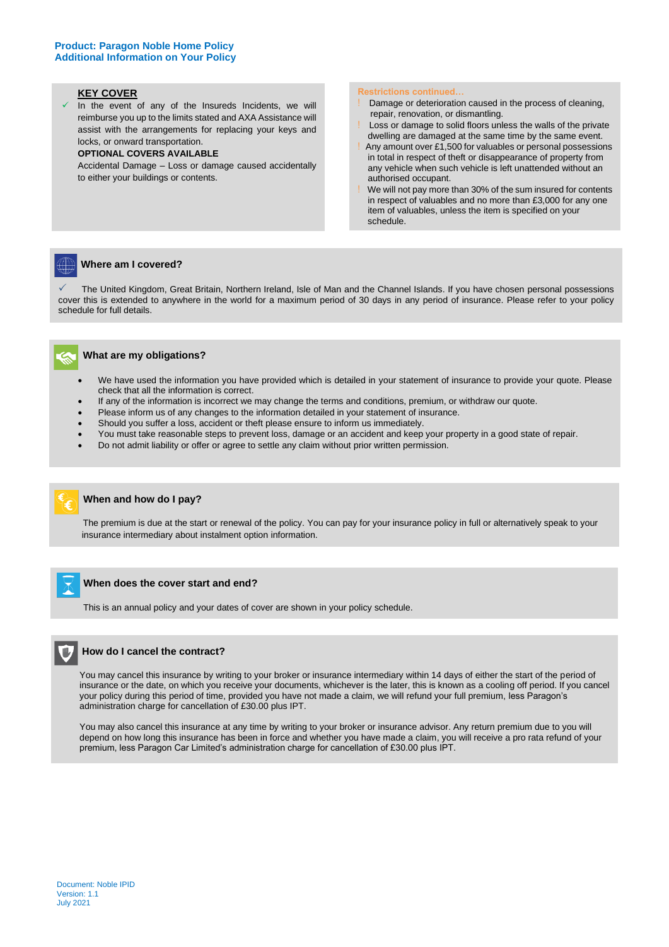#### **KEY COVER**

In the event of any of the Insureds Incidents, we will reimburse you up to the limits stated and AXA Assistance will assist with the arrangements for replacing your keys and locks, or onward transportation.

#### **OPTIONAL COVERS AVAILABLE**

Accidental Damage – Loss or damage caused accidentally to either your buildings or contents.

#### **Restrictions continued…**

- Damage or deterioration caused in the process of cleaning, repair, renovation, or dismantling.
- Loss or damage to solid floors unless the walls of the private dwelling are damaged at the same time by the same event.
- Any amount over £1,500 for valuables or personal possessions in total in respect of theft or disappearance of property from any vehicle when such vehicle is left unattended without an authorised occupant.
- We will not pay more than 30% of the sum insured for contents in respect of valuables and no more than £3,000 for any one item of valuables, unless the item is specified on your schedule.

#### **Where am I covered?**

 The United Kingdom, Great Britain, Northern Ireland, Isle of Man and the Channel Islands. If you have chosen personal possessions cover this is extended to anywhere in the world for a maximum period of 30 days in any period of insurance. Please refer to your policy schedule for full details.



#### **What are my obligations?**

- We have used the information you have provided which is detailed in your statement of insurance to provide your quote. Please check that all the information is correct.
- If any of the information is incorrect we may change the terms and conditions, premium, or withdraw our quote.
- Please inform us of any changes to the information detailed in your statement of insurance.
- Should you suffer a loss, accident or theft please ensure to inform us immediately.
- You must take reasonable steps to prevent loss, damage or an accident and keep your property in a good state of repair.
- Do not admit liability or offer or agree to settle any claim without prior written permission.



## **When and how do I pay?**

 The premium is due at the start or renewal of the policy. You can pay for your insurance policy in full or alternatively speak to your insurance intermediary about instalment option information.

#### **When does the cover start and end?**

This is an annual policy and your dates of cover are shown in your policy schedule.



#### **How do I cancel the contract?**

 You may cancel this insurance by writing to your broker or insurance intermediary within 14 days of either the start of the period of insurance or the date, on which you receive your documents, whichever is the later, this is known as a cooling off period. If you cancel your policy during this period of time, provided you have not made a claim, we will refund your full premium, less Paragon's administration charge for cancellation of £30.00 plus IPT.

 You may also cancel this insurance at any time by writing to your broker or insurance advisor. Any return premium due to you will depend on how long this insurance has been in force and whether you have made a claim, you will receive a pro rata refund of your premium, less Paragon Car Limited's administration charge for cancellation of £30.00 plus IPT.